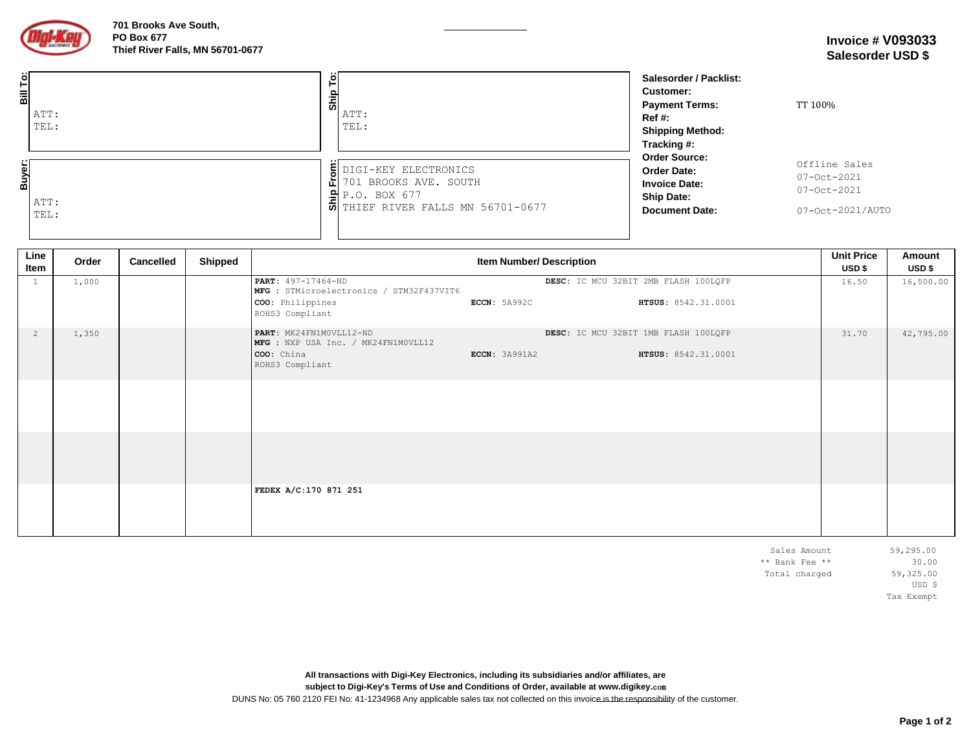

| 히<br>딃        | ATT:<br>TEL: | န္ဖု | ATT:<br>TEL:                                                                                                                            | Salesorder / Packlist:<br><b>Customer:</b><br><b>Payment Terms:</b><br>$Ref#$ :<br><b>Shipping Method:</b><br>Tracking #: | TT 100%                                                         |
|---------------|--------------|------|-----------------------------------------------------------------------------------------------------------------------------------------|---------------------------------------------------------------------------------------------------------------------------|-----------------------------------------------------------------|
| <b>Buyer:</b> | ATT:<br>TEL: |      | E DIGI-KEY ELECTRONICS<br>$\mathbf{L}$ 701 BROOKS AVE. SOUTH<br>.9 P.0. B0X 677<br>$\overline{\bullet}$ THIEF RIVER FALLS MN 56701-0677 | <b>Order Source:</b><br><b>Order Date:</b><br><b>Invoice Date:</b><br><b>Ship Date:</b><br><b>Document Date:</b>          | Offline Sales<br>07-Oct-2021<br>07-Oct-2021<br>07-Oct-2021/AUTO |

| Line<br>Item | Order | <b>Cancelled</b> | <b>Shipped</b> | <b>Item Number/Description</b>                                                                        |                      |  | <b>Unit Price</b><br>USD \$                                 | Amount<br>USD \$ |           |
|--------------|-------|------------------|----------------|-------------------------------------------------------------------------------------------------------|----------------------|--|-------------------------------------------------------------|------------------|-----------|
|              | 1,000 |                  |                | PART: 497-17464-ND<br>MFG : STMicroelectronics / STM32F437VIT6<br>COO: Philippines<br>ROHS3 Compliant | <b>ECCN:</b> 5A992C  |  | DESC: IC MCU 32BIT 2MB FLASH 100LQFP<br>HTSUS: 8542.31.0001 | 16.50            | 16,500.00 |
| 2            | 1,350 |                  |                | PART: MK24FN1MOVLL12-ND<br>MFG : NXP USA Inc. / MK24FN1M0VLL12<br>COO: China<br>ROHS3 Compliant       | <b>ECCN:</b> 3A991A2 |  | DESC: IC MCU 32BIT 1MB FLASH 100LQFP<br>HTSUS: 8542.31.0001 | 31.70            | 42,795.00 |
|              |       |                  |                |                                                                                                       |                      |  |                                                             |                  |           |
|              |       |                  |                |                                                                                                       |                      |  |                                                             |                  |           |
|              |       |                  |                | FEDEX A/C:170 871 251                                                                                 |                      |  |                                                             |                  |           |

| Sales Amount   | 59,295.00  |
|----------------|------------|
| ** Bank Fee ** | 30.00      |
| Total charged  | 59,325.00  |
|                | USD \$     |
|                | Tax Exempt |